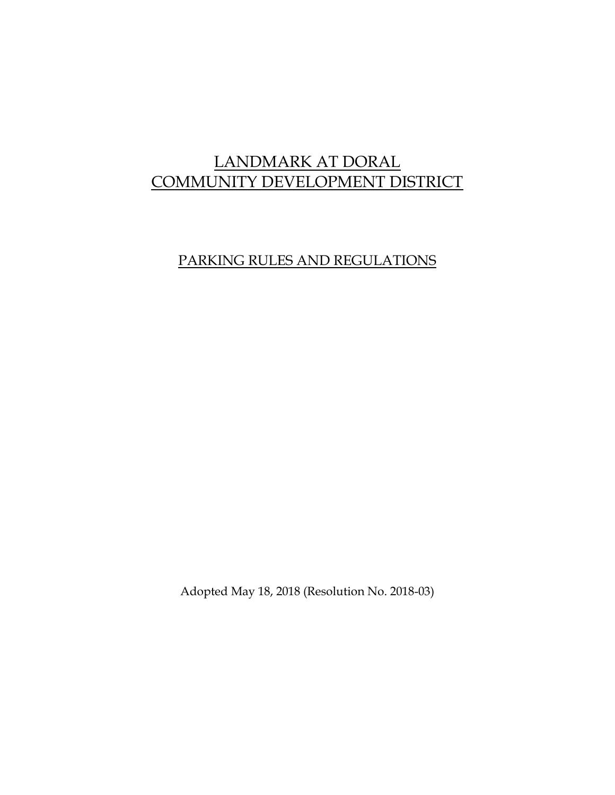# LANDMARK AT DORAL COMMUNITY DEVELOPMENT DISTRICT

## PARKING RULES AND REGULATIONS

Adopted May 18, 2018 (Resolution No. 2018-03)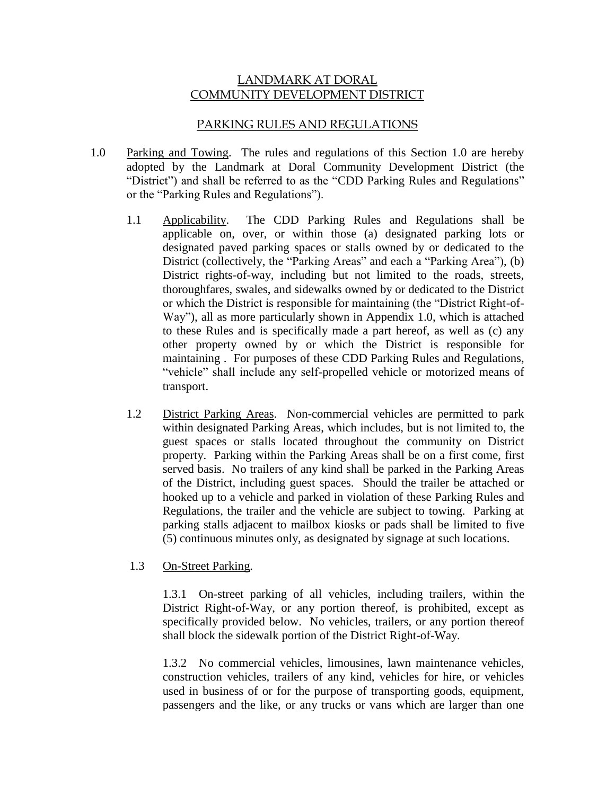#### LANDMARK AT DORAL COMMUNITY DEVELOPMENT DISTRICT

#### PARKING RULES AND REGULATIONS

- 1.0 Parking and Towing. The rules and regulations of this Section 1.0 are hereby adopted by the Landmark at Doral Community Development District (the "District") and shall be referred to as the "CDD Parking Rules and Regulations" or the "Parking Rules and Regulations").
	- 1.1 Applicability. The CDD Parking Rules and Regulations shall be applicable on, over, or within those (a) designated parking lots or designated paved parking spaces or stalls owned by or dedicated to the District (collectively, the "Parking Areas" and each a "Parking Area"), (b) District rights-of-way, including but not limited to the roads, streets, thoroughfares, swales, and sidewalks owned by or dedicated to the District or which the District is responsible for maintaining (the "District Right-of-Way"), all as more particularly shown in Appendix 1.0, which is attached to these Rules and is specifically made a part hereof, as well as (c) any other property owned by or which the District is responsible for maintaining . For purposes of these CDD Parking Rules and Regulations, "vehicle" shall include any self-propelled vehicle or motorized means of transport.
	- 1.2 District Parking Areas. Non-commercial vehicles are permitted to park within designated Parking Areas, which includes, but is not limited to, the guest spaces or stalls located throughout the community on District property. Parking within the Parking Areas shall be on a first come, first served basis. No trailers of any kind shall be parked in the Parking Areas of the District, including guest spaces. Should the trailer be attached or hooked up to a vehicle and parked in violation of these Parking Rules and Regulations, the trailer and the vehicle are subject to towing. Parking at parking stalls adjacent to mailbox kiosks or pads shall be limited to five (5) continuous minutes only, as designated by signage at such locations.

#### 1.3 On-Street Parking.

1.3.1 On-street parking of all vehicles, including trailers, within the District Right-of-Way, or any portion thereof, is prohibited, except as specifically provided below. No vehicles, trailers, or any portion thereof shall block the sidewalk portion of the District Right-of-Way.

1.3.2 No commercial vehicles, limousines, lawn maintenance vehicles, construction vehicles, trailers of any kind, vehicles for hire, or vehicles used in business of or for the purpose of transporting goods, equipment, passengers and the like, or any trucks or vans which are larger than one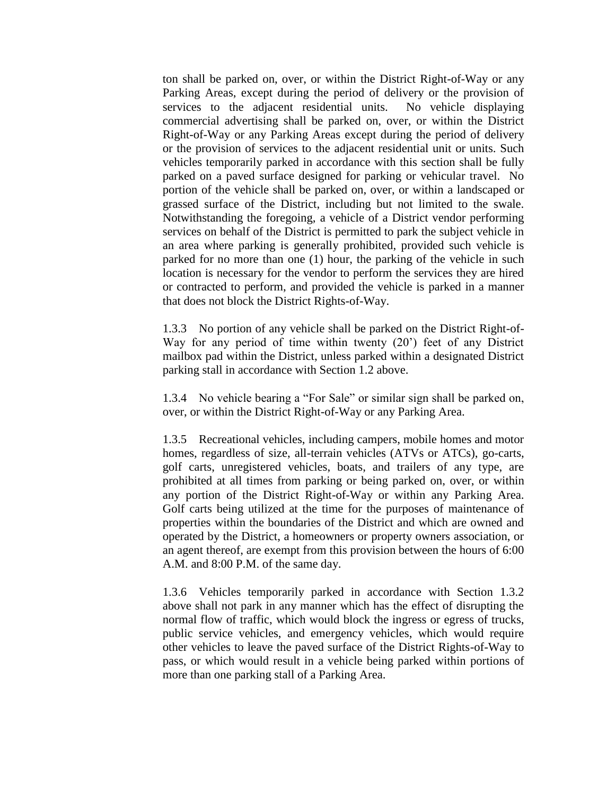ton shall be parked on, over, or within the District Right-of-Way or any Parking Areas, except during the period of delivery or the provision of services to the adjacent residential units. No vehicle displaying commercial advertising shall be parked on, over, or within the District Right-of-Way or any Parking Areas except during the period of delivery or the provision of services to the adjacent residential unit or units. Such vehicles temporarily parked in accordance with this section shall be fully parked on a paved surface designed for parking or vehicular travel. No portion of the vehicle shall be parked on, over, or within a landscaped or grassed surface of the District, including but not limited to the swale. Notwithstanding the foregoing, a vehicle of a District vendor performing services on behalf of the District is permitted to park the subject vehicle in an area where parking is generally prohibited, provided such vehicle is parked for no more than one (1) hour, the parking of the vehicle in such location is necessary for the vendor to perform the services they are hired or contracted to perform, and provided the vehicle is parked in a manner that does not block the District Rights-of-Way.

1.3.3 No portion of any vehicle shall be parked on the District Right-of-Way for any period of time within twenty (20') feet of any District mailbox pad within the District, unless parked within a designated District parking stall in accordance with Section 1.2 above.

1.3.4 No vehicle bearing a "For Sale" or similar sign shall be parked on, over, or within the District Right-of-Way or any Parking Area.

1.3.5 Recreational vehicles, including campers, mobile homes and motor homes, regardless of size, all-terrain vehicles (ATVs or ATCs), go-carts, golf carts, unregistered vehicles, boats, and trailers of any type, are prohibited at all times from parking or being parked on, over, or within any portion of the District Right-of-Way or within any Parking Area. Golf carts being utilized at the time for the purposes of maintenance of properties within the boundaries of the District and which are owned and operated by the District, a homeowners or property owners association, or an agent thereof, are exempt from this provision between the hours of 6:00 A.M. and 8:00 P.M. of the same day.

1.3.6 Vehicles temporarily parked in accordance with Section 1.3.2 above shall not park in any manner which has the effect of disrupting the normal flow of traffic, which would block the ingress or egress of trucks, public service vehicles, and emergency vehicles, which would require other vehicles to leave the paved surface of the District Rights-of-Way to pass, or which would result in a vehicle being parked within portions of more than one parking stall of a Parking Area.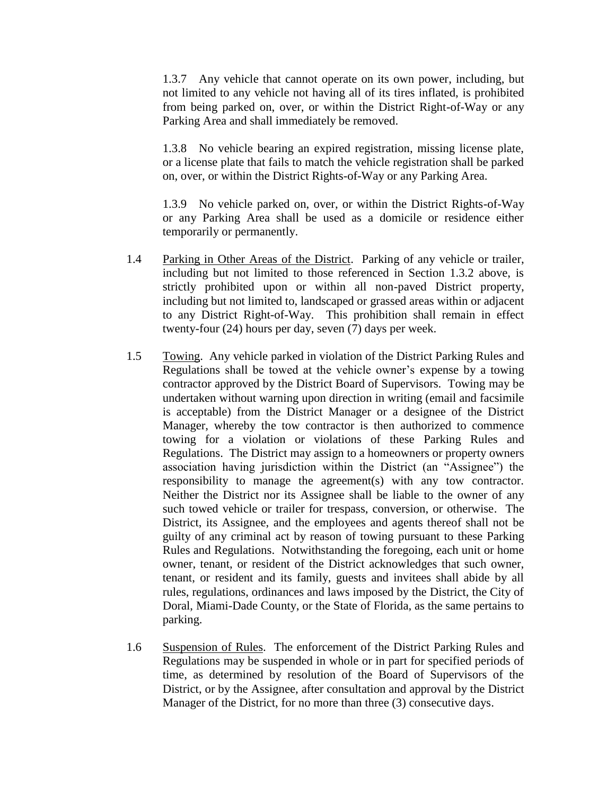1.3.7 Any vehicle that cannot operate on its own power, including, but not limited to any vehicle not having all of its tires inflated, is prohibited from being parked on, over, or within the District Right-of-Way or any Parking Area and shall immediately be removed.

1.3.8 No vehicle bearing an expired registration, missing license plate, or a license plate that fails to match the vehicle registration shall be parked on, over, or within the District Rights-of-Way or any Parking Area.

1.3.9 No vehicle parked on, over, or within the District Rights-of-Way or any Parking Area shall be used as a domicile or residence either temporarily or permanently.

- 1.4 Parking in Other Areas of the District. Parking of any vehicle or trailer, including but not limited to those referenced in Section 1.3.2 above, is strictly prohibited upon or within all non-paved District property, including but not limited to, landscaped or grassed areas within or adjacent to any District Right-of-Way. This prohibition shall remain in effect twenty-four (24) hours per day, seven (7) days per week.
- 1.5 Towing. Any vehicle parked in violation of the District Parking Rules and Regulations shall be towed at the vehicle owner's expense by a towing contractor approved by the District Board of Supervisors. Towing may be undertaken without warning upon direction in writing (email and facsimile is acceptable) from the District Manager or a designee of the District Manager, whereby the tow contractor is then authorized to commence towing for a violation or violations of these Parking Rules and Regulations. The District may assign to a homeowners or property owners association having jurisdiction within the District (an "Assignee") the responsibility to manage the agreement(s) with any tow contractor. Neither the District nor its Assignee shall be liable to the owner of any such towed vehicle or trailer for trespass, conversion, or otherwise. The District, its Assignee, and the employees and agents thereof shall not be guilty of any criminal act by reason of towing pursuant to these Parking Rules and Regulations. Notwithstanding the foregoing, each unit or home owner, tenant, or resident of the District acknowledges that such owner, tenant, or resident and its family, guests and invitees shall abide by all rules, regulations, ordinances and laws imposed by the District, the City of Doral, Miami-Dade County, or the State of Florida, as the same pertains to parking.
- 1.6 Suspension of Rules. The enforcement of the District Parking Rules and Regulations may be suspended in whole or in part for specified periods of time, as determined by resolution of the Board of Supervisors of the District, or by the Assignee, after consultation and approval by the District Manager of the District, for no more than three (3) consecutive days.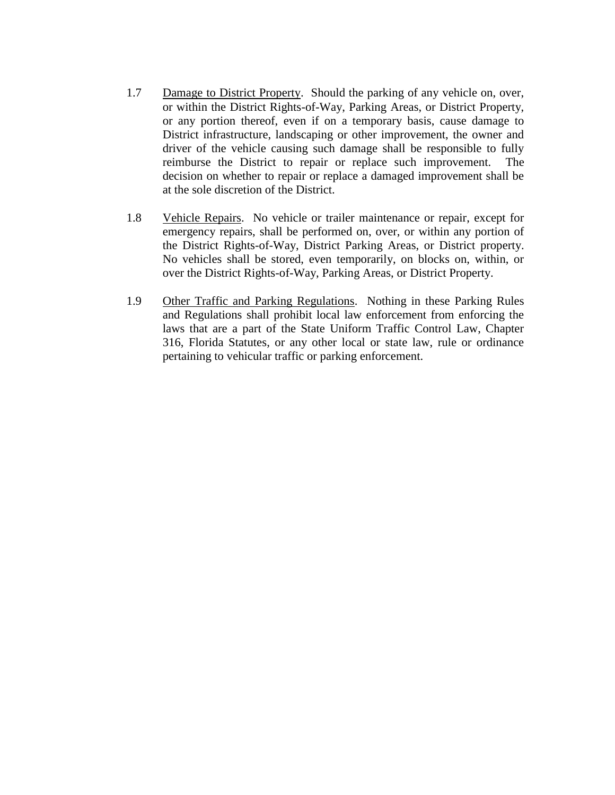- 1.7 Damage to District Property. Should the parking of any vehicle on, over, or within the District Rights-of-Way, Parking Areas, or District Property, or any portion thereof, even if on a temporary basis, cause damage to District infrastructure, landscaping or other improvement, the owner and driver of the vehicle causing such damage shall be responsible to fully reimburse the District to repair or replace such improvement. The decision on whether to repair or replace a damaged improvement shall be at the sole discretion of the District.
- 1.8 Vehicle Repairs. No vehicle or trailer maintenance or repair, except for emergency repairs, shall be performed on, over, or within any portion of the District Rights-of-Way, District Parking Areas, or District property. No vehicles shall be stored, even temporarily, on blocks on, within, or over the District Rights-of-Way, Parking Areas, or District Property.
- 1.9 Other Traffic and Parking Regulations. Nothing in these Parking Rules and Regulations shall prohibit local law enforcement from enforcing the laws that are a part of the State Uniform Traffic Control Law, Chapter 316, Florida Statutes, or any other local or state law, rule or ordinance pertaining to vehicular traffic or parking enforcement.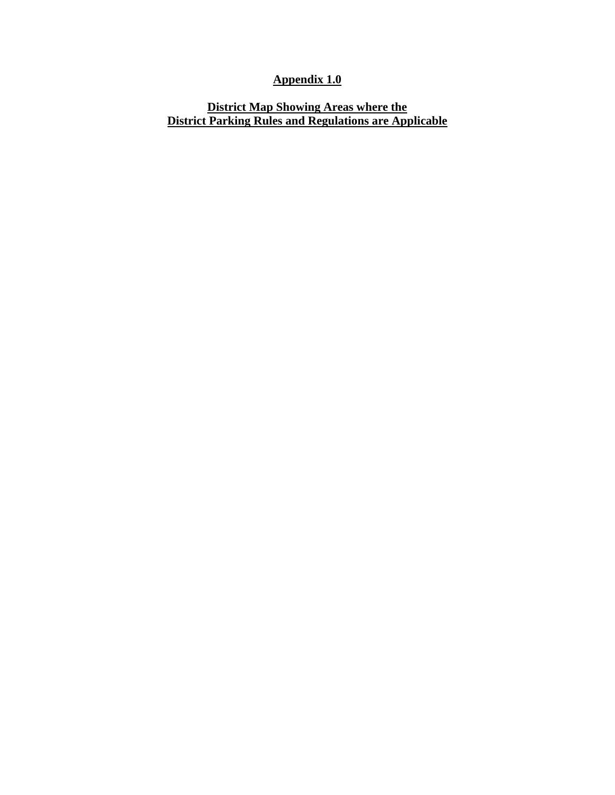### **Appendix 1.0**

### **District Map Showing Areas where the District Parking Rules and Regulations are Applicable**